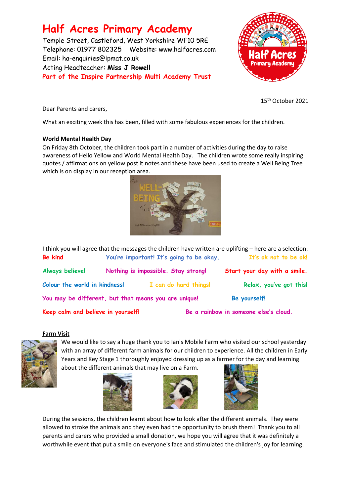# **Half Acres Primary Academy**

Temple Street, Castleford, West Yorkshire WF10 5RE Telephone: 01977 802325 Website: [www.halfacres.com](http://www.halfacres.com/) Email: ha-enquiries@ipmat.co.uk Acting Headteacher: **Miss J Rowell Part of the Inspire Partnership Multi Academy Trust**



15th October 2021

Dear Parents and carers,

What an exciting week this has been, filled with some fabulous experiences for the children.

## **World Mental Health Day**

On Friday 8th October, the children took part in a number of activities during the day to raise awareness of Hello Yellow and World Mental Health Day. The children wrote some really inspiring quotes / affirmations on yellow post it notes and these have been used to create a Well Being Tree which is on display in our reception area.



I think you will agree that the messages the children have written are uplifting – here are a selection: **Be kind You're important! It's going to be okay. It's ok not to be ok! Always believe! Nothing is impossible. Stay strong! Start your day with a smile.** Colour the world in kindness! I can do hard things! Relax, you've got this! **You may be different, but that means you are unique! Be yourself! Keep calm and believe in yourself! Be a rainbow in someone else's cloud.**

#### **Farm Visit**



We would like to say a huge thank you to Ian's Mobile Farm who visited our school yesterday with an array of different farm animals for our children to experience. All the children in Early Years and Key Stage 1 thoroughly enjoyed dressing up as a farmer for the day and learning about the different animals that may live on a Farm.







During the sessions, the children learnt about how to look after the different animals. They were allowed to stroke the animals and they even had the opportunity to brush them! Thank you to all parents and carers who provided a small donation, we hope you will agree that it was definitely a worthwhile event that put a smile on everyone's face and stimulated the children's joy for learning.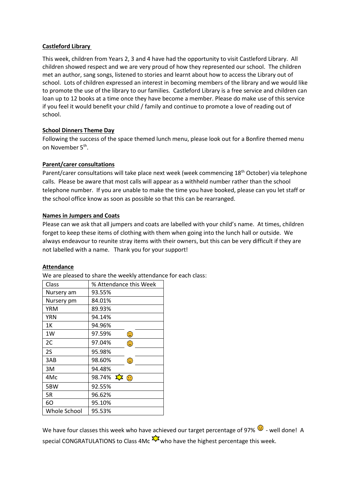## **Castleford Library**

This week, children from Years 2, 3 and 4 have had the opportunity to visit Castleford Library. All children showed respect and we are very proud of how they represented our school. The children met an author, sang songs, listened to stories and learnt about how to access the Library out of school. Lots of children expressed an interest in becoming members of the library and we would like to promote the use of the library to our families. Castleford Library is a free service and children can loan up to 12 books at a time once they have become a member. Please do make use of this service if you feel it would benefit your child / family and continue to promote a love of reading out of school.

## **School Dinners Theme Day**

Following the success of the space themed lunch menu, please look out for a Bonfire themed menu on November 5<sup>th</sup>.

## **Parent/carer consultations**

Parent/carer consultations will take place next week (week commencing 18<sup>th</sup> October) via telephone calls. Please be aware that most calls will appear as a withheld number rather than the school telephone number. If you are unable to make the time you have booked, please can you let staff or the school office know as soon as possible so that this can be rearranged.

## **Names in Jumpers and Coats**

Please can we ask that all jumpers and coats are labelled with your child's name. At times, children forget to keep these items of clothing with them when going into the lunch hall or outside. We always endeavour to reunite stray items with their owners, but this can be very difficult if they are not labelled with a name. Thank you for your support!

#### **Attendance**

We are pleased to share the weekly attendance for each class:

| Class        | % Attendance this Week               |
|--------------|--------------------------------------|
| Nursery am   | 93.55%                               |
| Nursery pm   | 84.01%                               |
| <b>YRM</b>   | 89.93%                               |
| YRN          | 94.14%                               |
| 1Κ           | 94.96%                               |
| 1W           | 97.59%<br>$\bm{\odot}$               |
| 2C           | 97.04%<br>$\odot$                    |
| 2S           | 95.98%                               |
| 3AB          | 98.60%<br>$\odot$                    |
| 3M           | 94.48%                               |
| 4Mc          | 98.74% $\Sigma \rightarrow \bigodot$ |
| 5BW          | 92.55%                               |
| 5R           | 96.62%                               |
| 60           | 95.10%                               |
| Whole School | 95.53%                               |

We have four classes this week who have achieved our target percentage of 97%  $\bigodot$  - well done! A special CONGRATULATIONS to Class 4Mc  $\frac{2}{\sqrt{2}}$  who have the highest percentage this week.